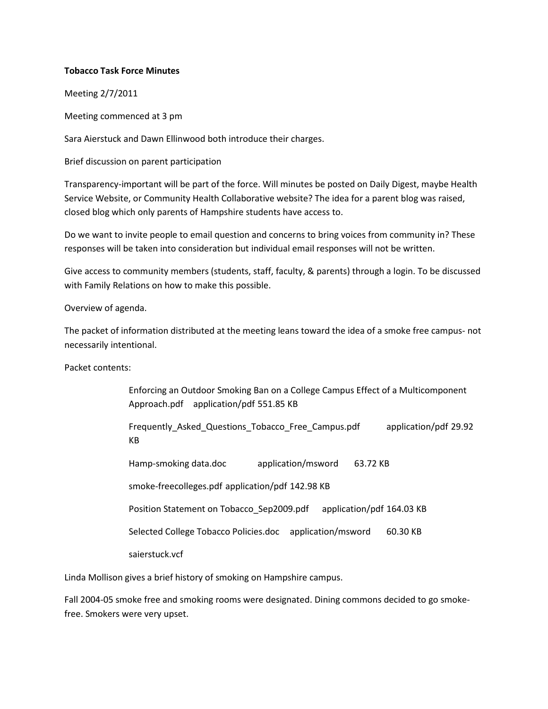## **Tobacco Task Force Minutes**

Meeting 2/7/2011

Meeting commenced at 3 pm

Sara Aierstuck and Dawn Ellinwood both introduce their charges.

Brief discussion on parent participation

Transparency-important will be part of the force. Will minutes be posted on Daily Digest, maybe Health Service Website, or Community Health Collaborative website? The idea for a parent blog was raised, closed blog which only parents of Hampshire students have access to.

Do we want to invite people to email question and concerns to bring voices from community in? These responses will be taken into consideration but individual email responses will not be written.

Give access to community members (students, staff, faculty, & parents) through a login. To be discussed with Family Relations on how to make this possible.

Overview of agenda.

The packet of information distributed at the meeting leans toward the idea of a smoke free campus- not necessarily intentional.

Packet contents:

Enforcing an Outdoor Smoking Ban on a College Campus Effect of a Multicomponent Approach.pdf application/pdf 551.85 KB Frequently\_Asked\_Questions\_Tobacco\_Free\_Campus.pdf application/pdf 29.92 KB Hamp-smoking data.doc application/msword 63.72 KB smoke-freecolleges.pdf application/pdf 142.98 KB Position Statement on Tobacco\_Sep2009.pdf application/pdf 164.03 KB Selected College Tobacco Policies.doc application/msword 60.30 KB saierstuck.vcf

Linda Mollison gives a brief history of smoking on Hampshire campus.

Fall 2004-05 smoke free and smoking rooms were designated. Dining commons decided to go smokefree. Smokers were very upset.